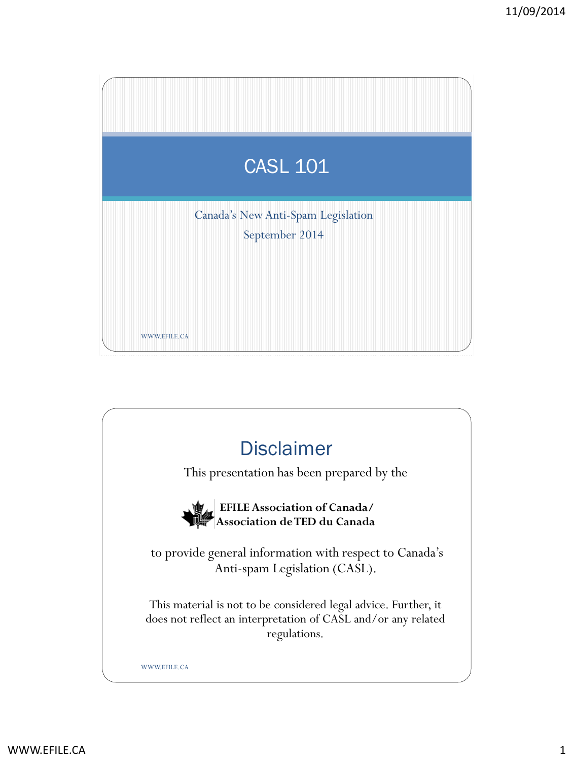

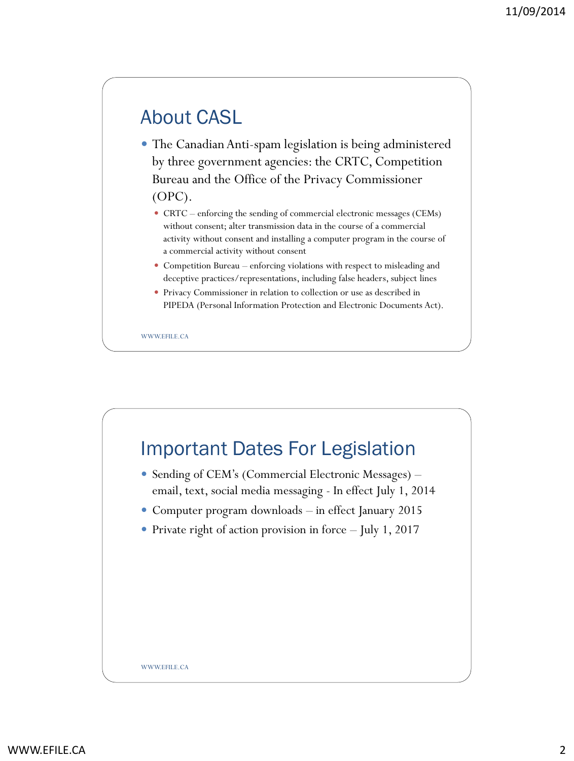# About CASL

 The Canadian Anti-spam legislation is being administered by three government agencies: the CRTC, Competition Bureau and the Office of the Privacy Commissioner (OPC).

- CRTC enforcing the sending of commercial electronic messages (CEMs) without consent; alter transmission data in the course of a commercial activity without consent and installing a computer program in the course of a commercial activity without consent
- Competition Bureau enforcing violations with respect to misleading and deceptive practices/representations, including false headers, subject lines
- Privacy Commissioner in relation to collection or use as described in PIPEDA (Personal Information Protection and Electronic Documents Act).

WWW.EFILE.CA

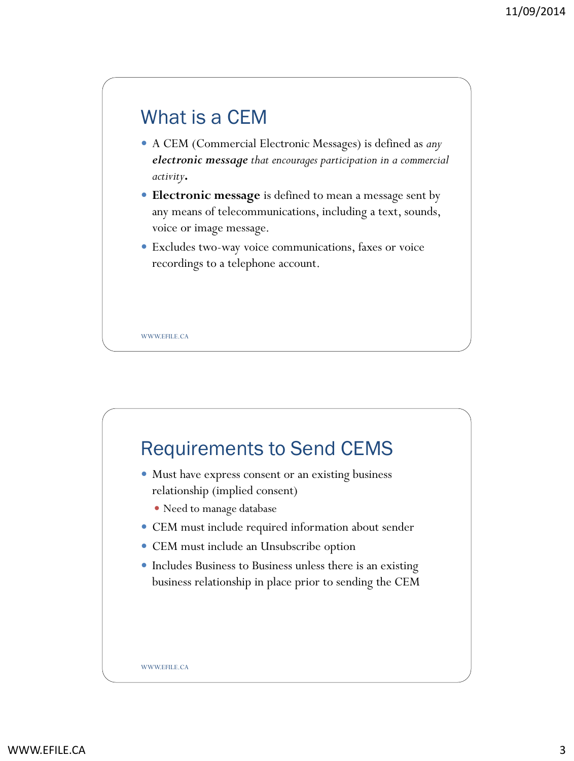

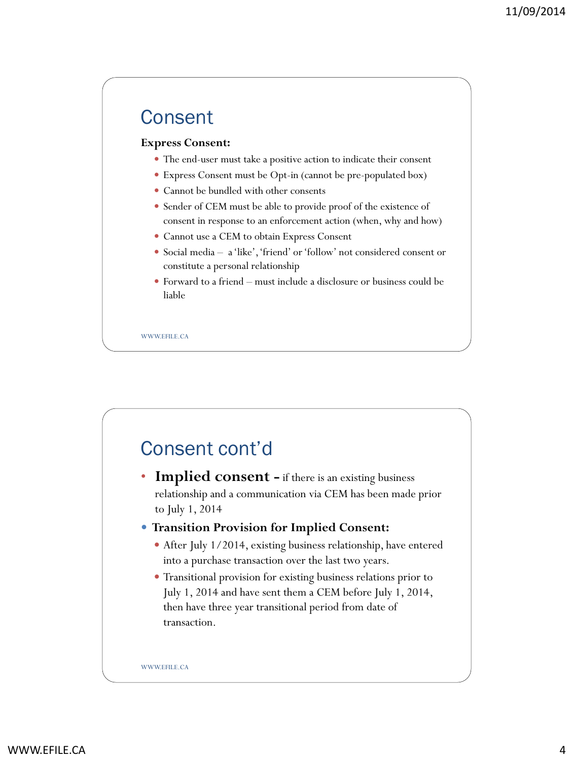### **Consent**

#### **Express Consent:**

- The end-user must take a positive action to indicate their consent
- Express Consent must be Opt-in (cannot be pre-populated box)
- Cannot be bundled with other consents
- Sender of CEM must be able to provide proof of the existence of consent in response to an enforcement action (when, why and how)
- Cannot use a CEM to obtain Express Consent
- Social media a 'like', 'friend' or 'follow' not considered consent or constitute a personal relationship
- Forward to a friend must include a disclosure or business could be liable

WWW.FFILE.CA

## Consent cont'd

• **Implied consent –** if there is an existing business relationship and a communication via CEM has been made prior to July 1, 2014

### **Transition Provision for Implied Consent:**

- After July 1/2014, existing business relationship, have entered into a purchase transaction over the last two years.
- Transitional provision for existing business relations prior to July 1, 2014 and have sent them a CEM before July 1, 2014, then have three year transitional period from date of transaction.

WWW.EFILE.CA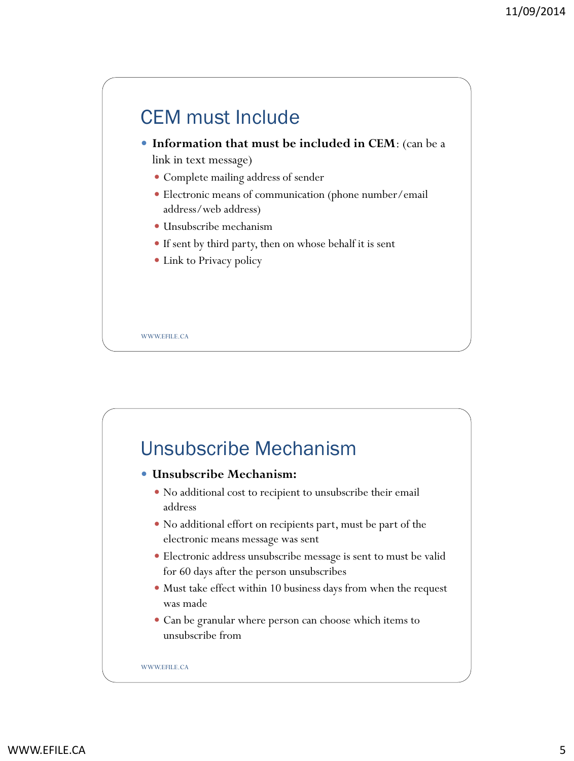